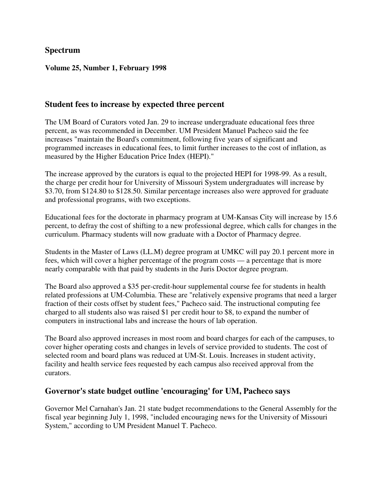#### **Spectrum**

#### **Volume 25, Number 1, February 1998**

#### **Student fees to increase by expected three percent**

The UM Board of Curators voted Jan. 29 to increase undergraduate educational fees three percent, as was recommended in December. UM President Manuel Pacheco said the fee increases "maintain the Board's commitment, following five years of significant and programmed increases in educational fees, to limit further increases to the cost of inflation, as measured by the Higher Education Price Index (HEPI)."

The increase approved by the curators is equal to the projected HEPI for 1998-99. As a result, the charge per credit hour for University of Missouri System undergraduates will increase by \$3.70, from \$124.80 to \$128.50. Similar percentage increases also were approved for graduate and professional programs, with two exceptions.

Educational fees for the doctorate in pharmacy program at UM-Kansas City will increase by 15.6 percent, to defray the cost of shifting to a new professional degree, which calls for changes in the curriculum. Pharmacy students will now graduate with a Doctor of Pharmacy degree.

Students in the Master of Laws (LL.M) degree program at UMKC will pay 20.1 percent more in fees, which will cover a higher percentage of the program costs — a percentage that is more nearly comparable with that paid by students in the Juris Doctor degree program.

The Board also approved a \$35 per-credit-hour supplemental course fee for students in health related professions at UM-Columbia. These are "relatively expensive programs that need a larger fraction of their costs offset by student fees," Pacheco said. The instructional computing fee charged to all students also was raised \$1 per credit hour to \$8, to expand the number of computers in instructional labs and increase the hours of lab operation.

The Board also approved increases in most room and board charges for each of the campuses, to cover higher operating costs and changes in levels of service provided to students. The cost of selected room and board plans was reduced at UM-St. Louis. Increases in student activity, facility and health service fees requested by each campus also received approval from the curators.

## **Governor's state budget outline 'encouraging' for UM, Pacheco says**

Governor Mel Carnahan's Jan. 21 state budget recommendations to the General Assembly for the fiscal year beginning July 1, 1998, "included encouraging news for the University of Missouri System," according to UM President Manuel T. Pacheco.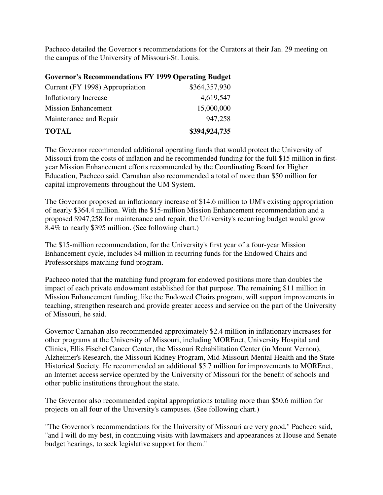Pacheco detailed the Governor's recommendations for the Curators at their Jan. 29 meeting on the campus of the University of Missouri-St. Louis.

| <b>Governor's Recommendations FY 1999 Operating Budget</b> |               |
|------------------------------------------------------------|---------------|
| Current (FY 1998) Appropriation                            | \$364,357,930 |
|                                                            | 1.610.717     |

| <b>TOTAL</b>                 | \$394,924,735 |
|------------------------------|---------------|
| Maintenance and Repair       | 947,258       |
| <b>Mission Enhancement</b>   | 15,000,000    |
| <b>Inflationary Increase</b> | 4,619,547     |

The Governor recommended additional operating funds that would protect the University of Missouri from the costs of inflation and he recommended funding for the full \$15 million in firstyear Mission Enhancement efforts recommended by the Coordinating Board for Higher Education, Pacheco said. Carnahan also recommended a total of more than \$50 million for capital improvements throughout the UM System.

The Governor proposed an inflationary increase of \$14.6 million to UM's existing appropriation of nearly \$364.4 million. With the \$15-million Mission Enhancement recommendation and a proposed \$947,258 for maintenance and repair, the University's recurring budget would grow 8.4% to nearly \$395 million. (See following chart.)

The \$15-million recommendation, for the University's first year of a four-year Mission Enhancement cycle, includes \$4 million in recurring funds for the Endowed Chairs and Professorships matching fund program.

Pacheco noted that the matching fund program for endowed positions more than doubles the impact of each private endowment established for that purpose. The remaining \$11 million in Mission Enhancement funding, like the Endowed Chairs program, will support improvements in teaching, strengthen research and provide greater access and service on the part of the University of Missouri, he said.

Governor Carnahan also recommended approximately \$2.4 million in inflationary increases for other programs at the University of Missouri, including MOREnet, University Hospital and Clinics, Ellis Fischel Cancer Center, the Missouri Rehabilitation Center (in Mount Vernon), Alzheimer's Research, the Missouri Kidney Program, Mid-Missouri Mental Health and the State Historical Society. He recommended an additional \$5.7 million for improvements to MOREnet, an Internet access service operated by the University of Missouri for the benefit of schools and other public institutions throughout the state.

The Governor also recommended capital appropriations totaling more than \$50.6 million for projects on all four of the University's campuses. (See following chart.)

"The Governor's recommendations for the University of Missouri are very good," Pacheco said, "and I will do my best, in continuing visits with lawmakers and appearances at House and Senate budget hearings, to seek legislative support for them."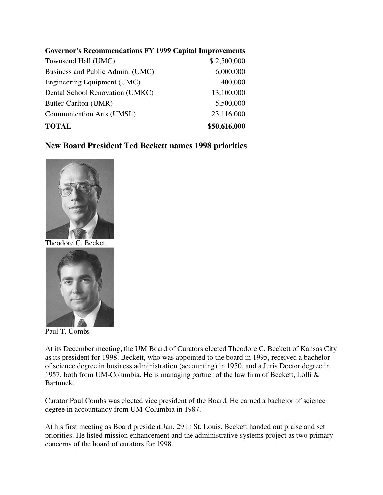| <b>Governor's Recommendations FY 1999 Capital Improvements</b> |              |
|----------------------------------------------------------------|--------------|
| Townsend Hall (UMC)                                            | \$2,500,000  |
| Business and Public Admin. (UMC)                               | 6,000,000    |
| Engineering Equipment (UMC)                                    | 400,000      |
| Dental School Renovation (UMKC)                                | 13,100,000   |
| Butler-Carlton (UMR)                                           | 5,500,000    |
| Communication Arts (UMSL)                                      | 23,116,000   |
| <b>TOTAL</b>                                                   | \$50,616,000 |

# **New Board President Ted Beckett names 1998 priorities**



Theodore C. Beckett



Paul T. Combs

At its December meeting, the UM Board of Curators elected Theodore C. Beckett of Kansas City as its president for 1998. Beckett, who was appointed to the board in 1995, received a bachelor of science degree in business administration (accounting) in 1950, and a Juris Doctor degree in 1957, both from UM-Columbia. He is managing partner of the law firm of Beckett, Lolli & Bartunek.

Curator Paul Combs was elected vice president of the Board. He earned a bachelor of science degree in accountancy from UM-Columbia in 1987.

At his first meeting as Board president Jan. 29 in St. Louis, Beckett handed out praise and set priorities. He listed mission enhancement and the administrative systems project as two primary concerns of the board of curators for 1998.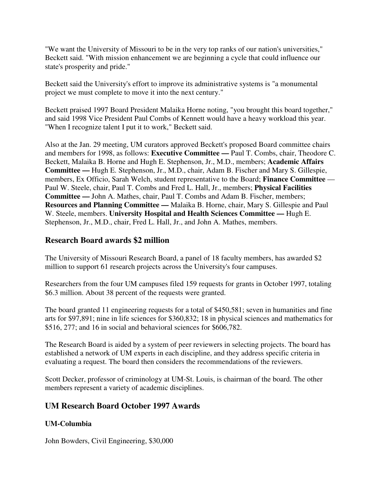"We want the University of Missouri to be in the very top ranks of our nation's universities," Beckett said. "With mission enhancement we are beginning a cycle that could influence our state's prosperity and pride."

Beckett said the University's effort to improve its administrative systems is "a monumental project we must complete to move it into the next century."

Beckett praised 1997 Board President Malaika Horne noting, "you brought this board together," and said 1998 Vice President Paul Combs of Kennett would have a heavy workload this year. "When I recognize talent I put it to work," Beckett said.

Also at the Jan. 29 meeting, UM curators approved Beckett's proposed Board committee chairs and members for 1998, as follows: **Executive Committee —** Paul T. Combs, chair, Theodore C. Beckett, Malaika B. Horne and Hugh E. Stephenson, Jr., M.D., members; **Academic Affairs Committee —** Hugh E. Stephenson, Jr., M.D., chair, Adam B. Fischer and Mary S. Gillespie, members, Ex Officio, Sarah Welch, student representative to the Board; **Finance Committee** — Paul W. Steele, chair, Paul T. Combs and Fred L. Hall, Jr., members; **Physical Facilities Committee —** John A. Mathes, chair, Paul T. Combs and Adam B. Fischer, members; **Resources and Planning Committee —** Malaika B. Horne, chair, Mary S. Gillespie and Paul W. Steele, members. **University Hospital and Health Sciences Committee —** Hugh E. Stephenson, Jr., M.D., chair, Fred L. Hall, Jr., and John A. Mathes, members.

# **Research Board awards \$2 million**

The University of Missouri Research Board, a panel of 18 faculty members, has awarded \$2 million to support 61 research projects across the University's four campuses.

Researchers from the four UM campuses filed 159 requests for grants in October 1997, totaling \$6.3 million. About 38 percent of the requests were granted.

The board granted 11 engineering requests for a total of \$450,581; seven in humanities and fine arts for \$97,891; nine in life sciences for \$360,832; 18 in physical sciences and mathematics for \$516, 277; and 16 in social and behavioral sciences for \$606,782.

The Research Board is aided by a system of peer reviewers in selecting projects. The board has established a network of UM experts in each discipline, and they address specific criteria in evaluating a request. The board then considers the recommendations of the reviewers.

Scott Decker, professor of criminology at UM-St. Louis, is chairman of the board. The other members represent a variety of academic disciplines.

## **UM Research Board October 1997 Awards**

## **UM-Columbia**

John Bowders, Civil Engineering, \$30,000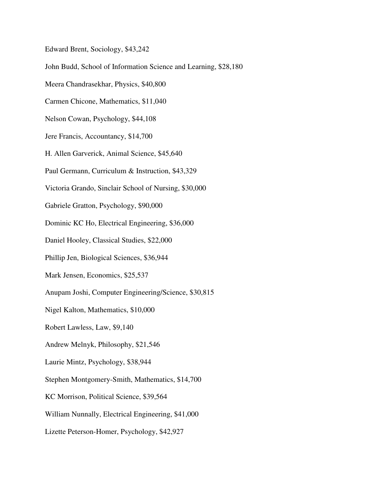Edward Brent, Sociology, \$43,242 John Budd, School of Information Science and Learning, \$28,180 Meera Chandrasekhar, Physics, \$40,800 Carmen Chicone, Mathematics, \$11,040 Nelson Cowan, Psychology, \$44,108 Jere Francis, Accountancy, \$14,700 H. Allen Garverick, Animal Science, \$45,640 Paul Germann, Curriculum & Instruction, \$43,329 Victoria Grando, Sinclair School of Nursing, \$30,000 Gabriele Gratton, Psychology, \$90,000 Dominic KC Ho, Electrical Engineering, \$36,000 Daniel Hooley, Classical Studies, \$22,000 Phillip Jen, Biological Sciences, \$36,944 Mark Jensen, Economics, \$25,537 Anupam Joshi, Computer Engineering/Science, \$30,815 Nigel Kalton, Mathematics, \$10,000 Robert Lawless, Law, \$9,140 Andrew Melnyk, Philosophy, \$21,546 Laurie Mintz, Psychology, \$38,944 Stephen Montgomery-Smith, Mathematics, \$14,700 KC Morrison, Political Science, \$39,564 William Nunnally, Electrical Engineering, \$41,000 Lizette Peterson-Homer, Psychology, \$42,927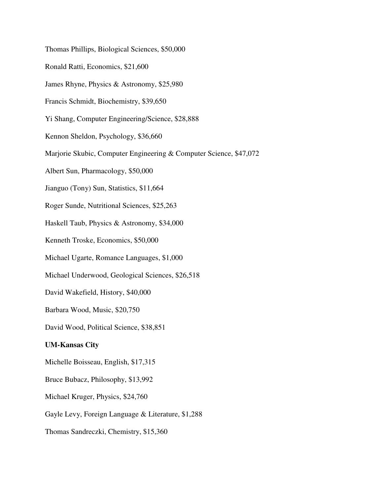Thomas Phillips, Biological Sciences, \$50,000 Ronald Ratti, Economics, \$21,600 James Rhyne, Physics & Astronomy, \$25,980 Francis Schmidt, Biochemistry, \$39,650 Yi Shang, Computer Engineering/Science, \$28,888 Kennon Sheldon, Psychology, \$36,660 Marjorie Skubic, Computer Engineering & Computer Science, \$47,072 Albert Sun, Pharmacology, \$50,000 Jianguo (Tony) Sun, Statistics, \$11,664 Roger Sunde, Nutritional Sciences, \$25,263 Haskell Taub, Physics & Astronomy, \$34,000 Kenneth Troske, Economics, \$50,000 Michael Ugarte, Romance Languages, \$1,000 Michael Underwood, Geological Sciences, \$26,518 David Wakefield, History, \$40,000 Barbara Wood, Music, \$20,750 David Wood, Political Science, \$38,851 **UM-Kansas City**  Michelle Boisseau, English, \$17,315 Bruce Bubacz, Philosophy, \$13,992 Michael Kruger, Physics, \$24,760 Gayle Levy, Foreign Language & Literature, \$1,288 Thomas Sandreczki, Chemistry, \$15,360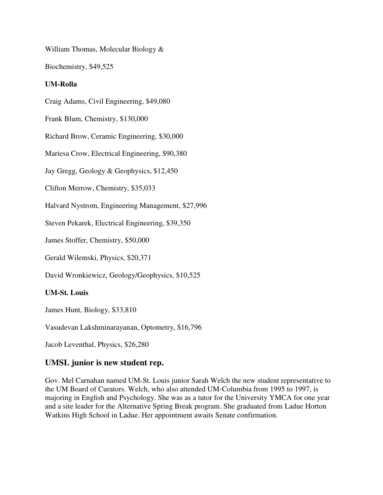William Thomas, Molecular Biology &

Biochemistry, \$49,525

#### **UM-Rolla**

Craig Adams, Civil Engineering, \$49,080

Frank Blum, Chemistry, \$130,000

Richard Brow, Ceramic Engineering, \$30,000

Mariesa Crow, Electrical Engineering, \$90,380

Jay Gregg, Geology & Geophysics, \$12,450

Clifton Merrow, Chemistry, \$35,033

Halvard Nystrom, Engineering Management, \$27,996

Steven Pekarek, Electrical Engineering, \$39,350

James Stoffer, Chemistry, \$50,000

Gerald Wilemski, Physics, \$20,371

David Wronkiewicz, Geology/Geophysics, \$10,525

#### **UM-St. Louis**

James Hunt, Biology, \$33,810

Vasudevan Lakshminarayanan, Optometry, \$16,796

Jacob Leventhal, Physics, \$26,280

## **UMSL junior is new student rep.**

Gov. Mel Carnahan named UM-St. Louis junior Sarah Welch the new student representative to the UM Board of Curators. Welch, who also attended UM-Columbia from 1995 to 1997, is majoring in English and Psychology. She was as a tutor for the University YMCA for one year and a site leader for the Alternative Spring Break program. She graduated from Ladue Horton Watkins High School in Ladue. Her appointment awaits Senate confirmation.